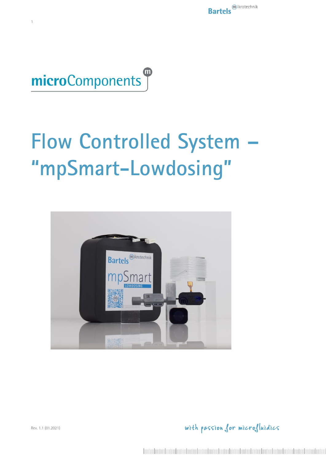<span id="page-0-0"></span>

1

# <span id="page-0-1"></span>**Flow Controlled System – "mpSmart-Lowdosing"**



with passion for microfluidics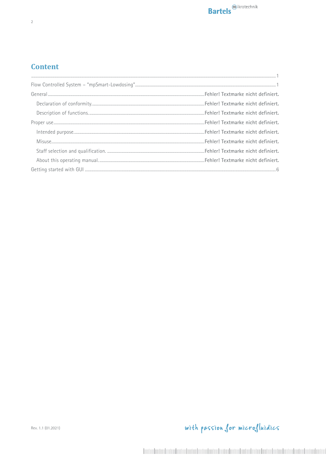### **Content**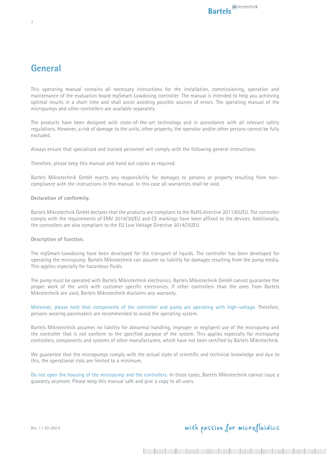## **General**

This operating manual contains all necessary instructions for the installation, commissioning, operation and maintenance of the evaluation board mpSmart-Lowdosing controller. The manual is intended to help you achieving optimal results in a short time and shall assist avoiding possible sources of errors. The operating manual of the micropumps and other controllers are available separately.

The products have been designed with state-of-the-art technology and in accordance with all relevant safety regulations. However, a risk of damage to the units, other property, the operator and/or other persons cannot be fully excluded.

Always ensure that specialized and trained personnel will comply with the following general instructions.

Therefore, please keep this manual and hand out copies as required.

Bartels Mikrotechnik GmbH rejects any responsibility for damages to persons or property resulting from noncompliance with the instructions in this manual. In this case all warranties shall be void.

#### **Declaration of conformity.**

Bartels Mikrotechnik GmbH declares that the products are compliant to the RoHS directive 2011/65/EU. The controller comply with the requirements of EMV 2014/30/EU and CE markings have been affixed to the devices. Additionally, the controllers are also compliant to the EU Low Voltage Directive 2014/35/EU.

#### **Description of function.**

The mpSmart-Lowdosing have been developed for the transport of liquids. The controller has been developed for operating the micropump. Bartels Mikrotechnik can assume no liability for damages resulting from the pump media. This applies especially for hazardous fluids.

The pump must be operated with Bartels Mikrotechnik electronics. Bartels Mikrotechnik GmbH cannot guarantee the proper work of the units with customer specific electronics. If other controllers than the ones from Bartels Mikrotechnik are used, Bartels Mikrotechnik disclaims any warranty.

Moreover, please note that components of the controller and pump are operating with high-voltage. Therefore, persons wearing pacemakers are recommended to avoid the operating system.

Bartels Mikrotechnik assumes no liability for abnormal handling, improper or negligent use of the micropump and the controller that is not conform to the specified purpose of the system. This applies especially for micropump controllers, components and systems of other manufacturers, which have not been certified by Bartels Mikrotechnik.

We guarantee that the micropumps comply with the actual state of scientific and technical knowledge and due to this, the operational risks are limited to a minimum.

Do not open the housing of the micropump and the controllers. In those cases, Bartels Mikrotechnik cannot issue a guaranty anymore. Please keep this manual safe and give a copy to all users.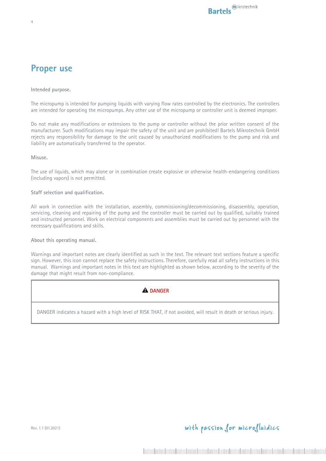## **Proper use**

4

**Intended purpose.**

The micropump is intended for pumping liquids with varying flow rates controlled by the electronics. The controllers are intended for operating the micropumps. Any other use of the micropump or controller unit is deemed improper.

Do not make any modifications or extensions to the pump or controller without the prior written consent of the manufacturer. Such modifications may impair the safety of the unit and are prohibited! Bartels Mikrotechnik GmbH rejects any responsibility for damage to the unit caused by unauthorized modifications to the pump and risk and liability are automatically transferred to the operator.

**Misuse.**

The use of liquids, which may alone or in combination create explosive or otherwise health-endangering conditions (including vapors) is not permitted.

#### **Staff selection and qualification.**

All work in connection with the installation, assembly, commissioning/decommissioning, disassembly, operation, servicing, cleaning and repairing of the pump and the controller must be carried out by qualified, suitably trained and instructed personnel. Work on electrical components and assemblies must be carried out by personnel with the necessary qualifications and skills.

**About this operating manual.**

Warnings and important notes are clearly identified as such in the text. The relevant text sections feature a specific sign. However, this icon cannot replace the safety instructions. Therefore, carefully read all safety instructions in this manual. Warnings and important notes in this text are highlighted as shown below, according to the severity of the damage that might result from non-compliance.



DANGER indicates a hazard with a high level of RISK THAT, if not avoided, will result in death or serious injury.

with passion for microfluidics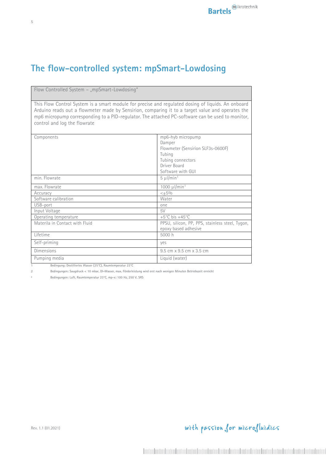## **The flow-controlled system: mpSmart-Lowdosing**

Flow Controlled System - "mpSmart-Lowdosing'

This Flow Control System is a smart module for precise and regulated dosing of liquids. An onboard Arduino reads out a flowmeter made by Sensirion, comparing it to a target value and operates the mp6 micropump corresponding to a PID-regulator. The attached PC-software can be used to monitor, control and log the flowrate

| Components                     | mp6-hyb micropump                               |
|--------------------------------|-------------------------------------------------|
|                                | Damper                                          |
|                                | Flowmeter (Sensirion SLF3s-0600F)               |
|                                | Tubing                                          |
|                                | Tubing connectors                               |
|                                | Driver Board                                    |
|                                | Software with GUI                               |
| min. Flowrate                  | $5 \mu$ l/min <sup>1</sup>                      |
| max. Flowrate                  | $1000 \mu$ l/min <sup>1</sup>                   |
| Accuracy                       | $< +5%$                                         |
| Software calibration           | Water                                           |
| USB-port                       | one                                             |
| Input Voltage                  | 5V                                              |
| Operating temperature          | $+5^{\circ}$ C bis $+45^{\circ}$ C              |
| Materila in Contact with Fluid | PPSU, silicon, PP, PPS, stainless steel, Tygon, |
|                                | epoxy based adhesive                            |
| Lifetime                       | 5000 h                                          |
| Self-priming                   | yes                                             |
| Dimensions                     | 9.5 cm x 9.5 cm x 3.5 cm                        |
| Pumping media                  | Liquid (water)                                  |
|                                |                                                 |

**1 Bedingung: Destilliertes Wasser (25°C), Raumtemperatur 23°C**

**2 Bedingungen: Saugdruck < 10 mbar, DI-Wasser, max. Förderleistung wird erst nach wenigen Minuten Betriebszeit erreicht**

**³ Bedingungen: Luft, Raumtemperatur 23°C, mp-x: 100 Hz, 250 V, SRS**

Rev. 1.1 (01.2021)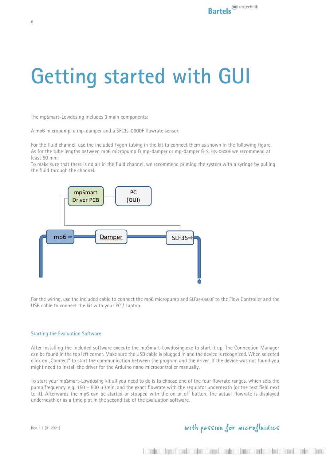# <span id="page-5-0"></span>**Getting started with GUI**

The mpSmart-Lowdosing includes 3 main components:

A mp6 micropump, a mp-damper and a SFL3s-0600F flowrate sensor.

For the fluid channel, use the included Tygon tubing in the kit to connect them as shown in the following figure. As for the tube lengths between mp6 micropump & mp-damper or mp-damper & SLF3s-0600F we recommend at least 50 mm.

To make sure that there is no air in the fluid channel, we recommend priming the system with a syringe by pulling the fluid through the channel.



For the wiring, use the included cable to connect the mp6 micropump and SLF3s-0600F to the Flow Controller and the USB cable to connect the kit with your PC / Laptop.

#### Starting the Evaluation Software

After installing the included software execute the mpSmart-Lowdosing.exe to start it up. The Connection Manager can be found in the top left corner. Make sure the USB cable is plugged in and the device is recognized. When selected click on "Connect" to start the communication between the program and the driver. If the device was not found you might need to install the driver for the Arduino nano microcontroller manually.

To start your mpSmart-Lowdosing kit all you need to do is to choose one of the four flowrate ranges, which sets the pump frequency, e.g. 150 – 500 µl/min, and the exact flowrate with the regulator underneath (or the text field next to it). Afterwards the mp6 can be started or stopped with the on or off button. The actual flowrate is displayed underneath or as a time plot in the second tab of the Evaluation software.

```
Rev. 1.1 (01.2021)
```
with passion for microfluidics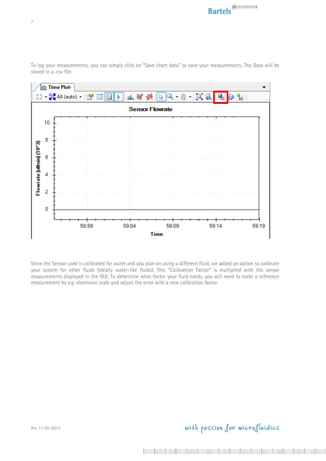

To log your measurements, you can simply click on "Save chart data" to save your measurements. The Data will be stored in a .csv file.

Since the Sensor used is calibrated for water and you plan on using a different fluid, we added an option to calibrate your system for other fluids (ideally water-like fluids). This "Calibration Factor" is multiplied with the sensor measurements displayed in the GUI. To determine what factor your fluid needs, you will need to make a reference measurement by e.g. electronic scale and adjust the error with a new calibration factor.

#### Rev. 1.1 (01.2021)